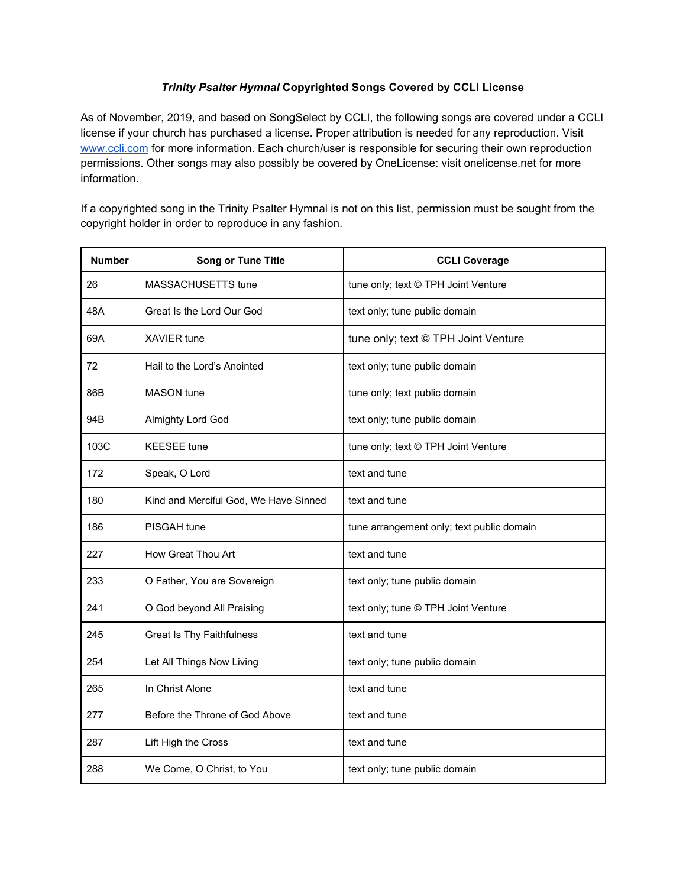## *Trinity Psalter Hymnal* **Copyrighted Songs Covered by CCLI License**

As of November, 2019, and based on SongSelect by CCLI, the following songs are covered under a CCLI license if your church has purchased a license. Proper attribution is needed for any reproduction. Visit [www.ccli.com](http://www.ccli.com/) for more information. Each church/user is responsible for securing their own reproduction permissions. Other songs may also possibly be covered by OneLicense: visit onelicense.net for more information.

If a copyrighted song in the Trinity Psalter Hymnal is not on this list, permission must be sought from the copyright holder in order to reproduce in any fashion.

| <b>Number</b> | <b>Song or Tune Title</b>             | <b>CCLI Coverage</b>                      |
|---------------|---------------------------------------|-------------------------------------------|
| 26            | MASSACHUSETTS tune                    | tune only; text © TPH Joint Venture       |
| 48A           | Great Is the Lord Our God             | text only; tune public domain             |
| 69A           | <b>XAVIER</b> tune                    | tune only; text © TPH Joint Venture       |
| 72            | Hail to the Lord's Anointed           | text only; tune public domain             |
| 86B           | <b>MASON</b> tune                     | tune only; text public domain             |
| 94B           | Almighty Lord God                     | text only; tune public domain             |
| 103C          | <b>KEESEE</b> tune                    | tune only; text © TPH Joint Venture       |
| 172           | Speak, O Lord                         | text and tune                             |
| 180           | Kind and Merciful God, We Have Sinned | text and tune                             |
| 186           | PISGAH tune                           | tune arrangement only; text public domain |
| 227           | How Great Thou Art                    | text and tune                             |
| 233           | O Father, You are Sovereign           | text only; tune public domain             |
| 241           | O God beyond All Praising             | text only; tune © TPH Joint Venture       |
| 245           | <b>Great Is Thy Faithfulness</b>      | text and tune                             |
| 254           | Let All Things Now Living             | text only; tune public domain             |
| 265           | In Christ Alone                       | text and tune                             |
| 277           | Before the Throne of God Above        | text and tune                             |
| 287           | Lift High the Cross                   | text and tune                             |
| 288           | We Come, O Christ, to You             | text only; tune public domain             |